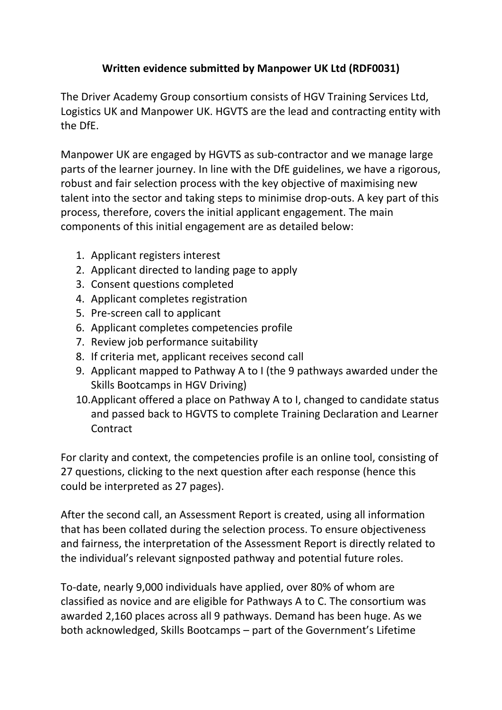## **Written evidence submitted by Manpower UK Ltd (RDF0031)**

The Driver Academy Group consortium consists of HGV Training Services Ltd, Logistics UK and Manpower UK. HGVTS are the lead and contracting entity with the DfE.

Manpower UK are engaged by HGVTS as sub-contractor and we manage large parts of the learner journey. In line with the DfE guidelines, we have a rigorous, robust and fair selection process with the key objective of maximising new talent into the sector and taking steps to minimise drop-outs. A key part of this process, therefore, covers the initial applicant engagement. The main components of this initial engagement are as detailed below:

- 1. Applicant registers interest
- 2. Applicant directed to landing page to apply
- 3. Consent questions completed
- 4. Applicant completes registration
- 5. Pre-screen call to applicant
- 6. Applicant completes competencies profile
- 7. Review job performance suitability
- 8. If criteria met, applicant receives second call
- 9. Applicant mapped to Pathway A to I (the 9 pathways awarded under the Skills Bootcamps in HGV Driving)
- 10.Applicant offered a place on Pathway A to I, changed to candidate status and passed back to HGVTS to complete Training Declaration and Learner **Contract**

For clarity and context, the competencies profile is an online tool, consisting of 27 questions, clicking to the next question after each response (hence this could be interpreted as 27 pages).

After the second call, an Assessment Report is created, using all information that has been collated during the selection process. To ensure objectiveness and fairness, the interpretation of the Assessment Report is directly related to the individual's relevant signposted pathway and potential future roles.

To-date, nearly 9,000 individuals have applied, over 80% of whom are classified as novice and are eligible for Pathways A to C. The consortium was awarded 2,160 places across all 9 pathways. Demand has been huge. As we both acknowledged, Skills Bootcamps – part of the Government's Lifetime